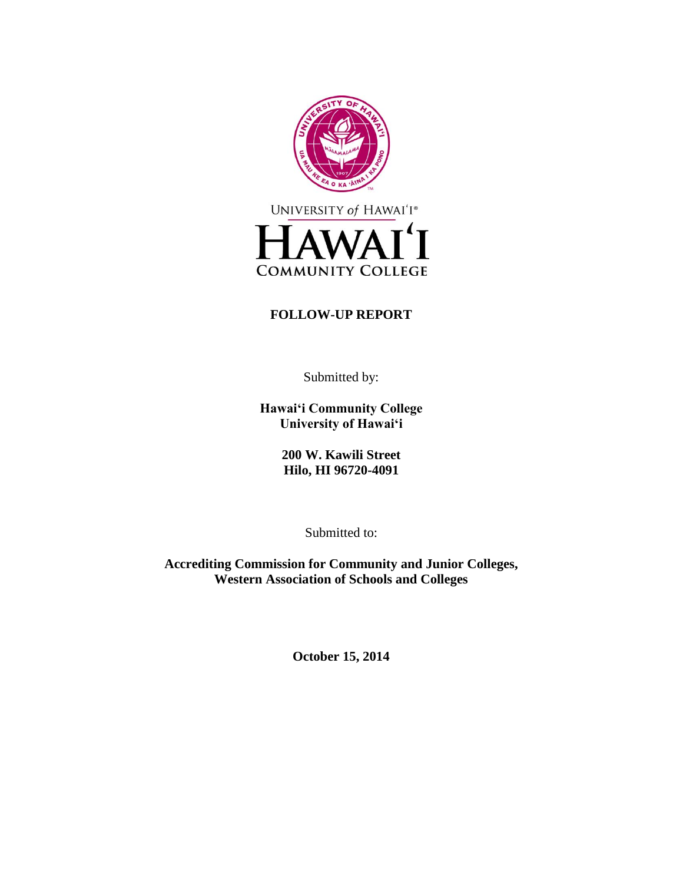

# **FOLLOW-UP REPORT**

Submitted by:

**Hawai'i Community College University of Hawai'i**

> **200 W. Kawili Street Hilo, HI 96720-4091**

> > Submitted to:

**Accrediting Commission for Community and Junior Colleges, Western Association of Schools and Colleges**

**October 15, 2014**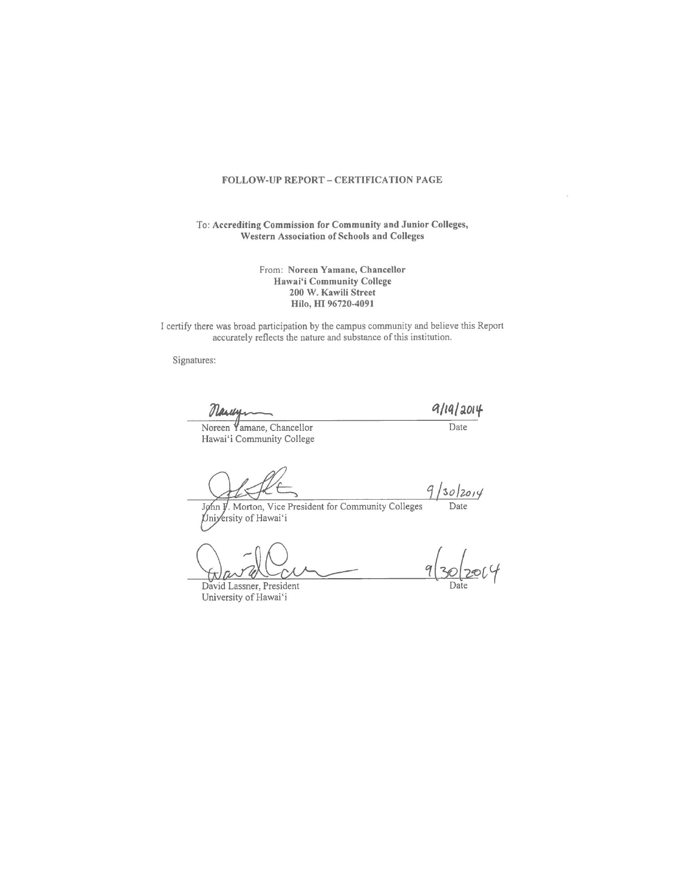#### FOLLOW-UP REPORT - CERTIFICATION PAGE

To: Accrediting Commission for Community and Junior Colleges, Western Association of Schools and Colleges

> From: Noreen Yamane, Chancellor Hawai'i Community College 200 W. Kawili Street Hilo, HI 96720-4091

I certify there was broad participation by the campus community and believe this Report accurately reflects the nature and substance of this institution.

Signatures:

Narwy

 $9/19/2014$ 

Noreen Yamane, Chancellor Hawai'i Community College

Date

 $9/30/2014$ Date

John J. Morton, Vice President for Community Colleges Uniyersity of Hawai'i

David Lassner, President University of Hawai'i

9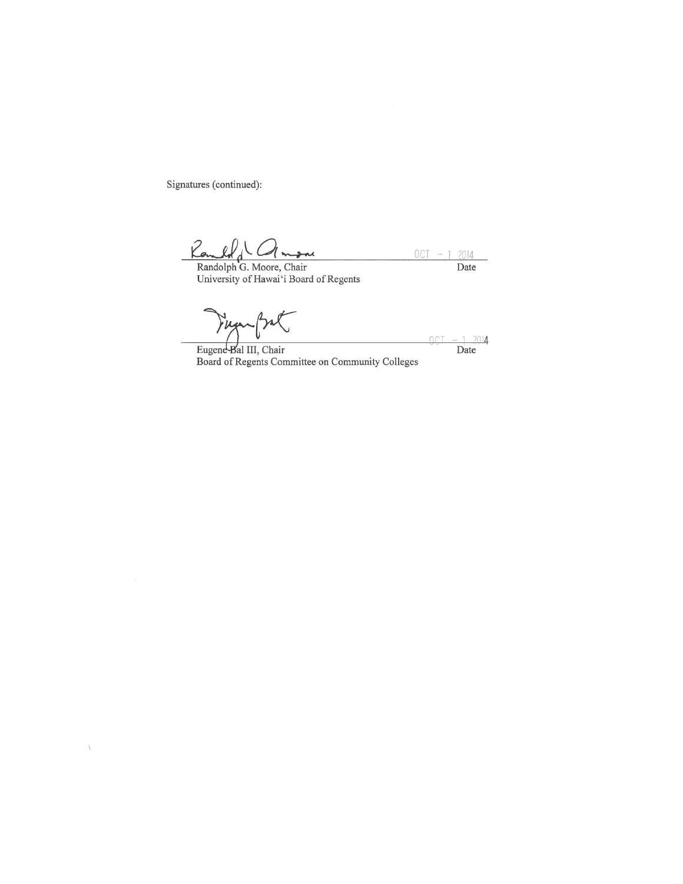Signatures (continued):

 $\backslash$ 

Randolph G. Moore, Chair<br>Randolph G. Moore, Chair<br>University of Hawai'i Board of Regents  $OCT - 1 2014$ Date

rug

 $2014$ Date

OCT

Eugene Bal III, Chair Board of Regents Committee on Community Colleges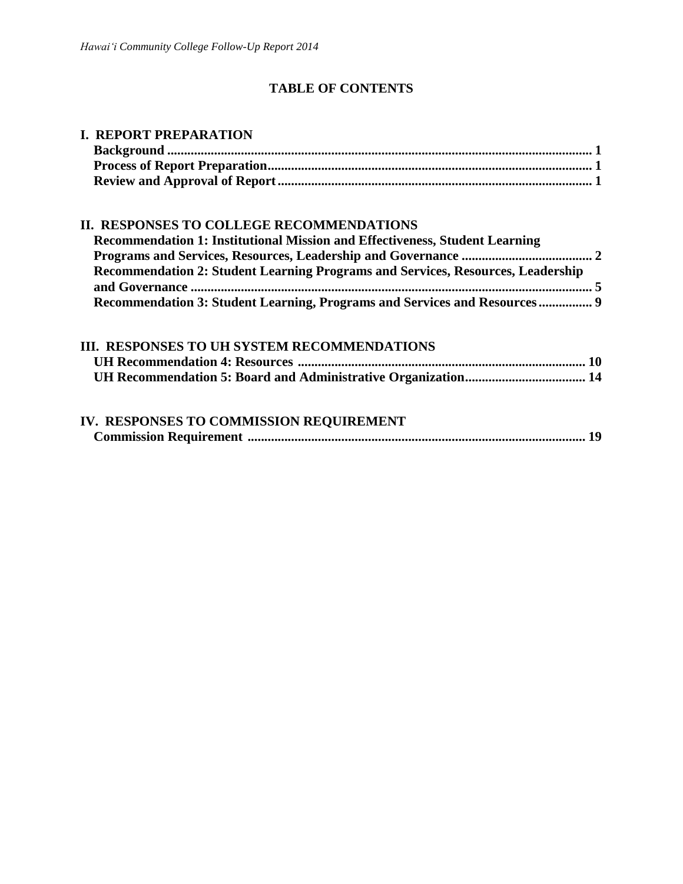# **TABLE OF CONTENTS**

| <b>I. REPORT PREPARATION</b>                                                       |  |  |
|------------------------------------------------------------------------------------|--|--|
|                                                                                    |  |  |
|                                                                                    |  |  |
|                                                                                    |  |  |
| <b>II. RESPONSES TO COLLEGE RECOMMENDATIONS</b>                                    |  |  |
| <b>Recommendation 1: Institutional Mission and Effectiveness, Student Learning</b> |  |  |
|                                                                                    |  |  |
| Recommendation 2: Student Learning Programs and Services, Resources, Leadership    |  |  |
|                                                                                    |  |  |
| Recommendation 3: Student Learning, Programs and Services and Resources 9          |  |  |
| <b>III. RESPONSES TO UH SYSTEM RECOMMENDATIONS</b>                                 |  |  |
|                                                                                    |  |  |
|                                                                                    |  |  |
| IV. RESPONSES TO COMMISSION REQUIREMENT                                            |  |  |

|--|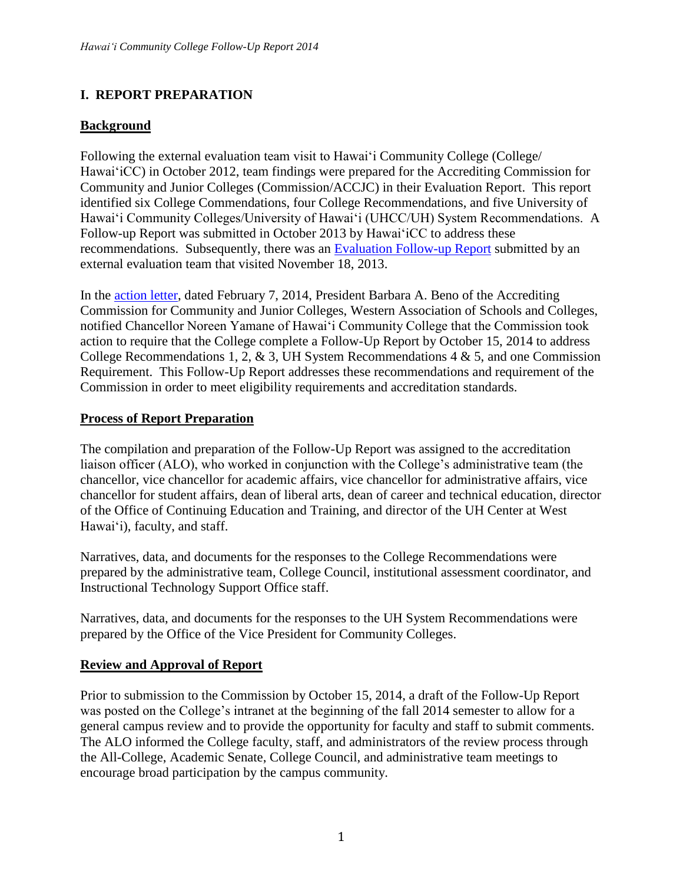# **I. REPORT PREPARATION**

# **Background**

Following the external evaluation team visit to Hawai'i Community College (College) Hawai'iCC) in October 2012, team findings were prepared for the Accrediting Commission for Community and Junior Colleges (Commission/ACCJC) in their Evaluation Report. This report identified six College Commendations, four College Recommendations, and five University of Hawai'i Community Colleges/University of Hawai'i (UHCC/UH) System Recommendations. A Follow-up Report was submitted in October 2013 by Hawai'iCC to address these recommendations. Subsequently, there was an [Evaluation](http://hawaii.hawaii.edu/accreditation/docs/accjc_letter_with_report_of_external_evaluation_team_12-5-13.pdf) Follow-up Report submitted by an external evaluation team that visited November 18, 2013.

In the [action letter,](http://hawaii.hawaii.edu/accreditation/docs/accjc_commission_action_letter_2-7-2014.pdf) dated February 7, 2014, President Barbara A. Beno of the Accrediting Commission for Community and Junior Colleges, Western Association of Schools and Colleges, notified Chancellor Noreen Yamane of Hawai'i Community College that the Commission took action to require that the College complete a Follow-Up Report by October 15, 2014 to address College Recommendations 1, 2, & 3, UH System Recommendations  $4 \& 5$ , and one Commission Requirement.This Follow-Up Report addresses these recommendations and requirement of the Commission in order to meet eligibility requirements and accreditation standards.

# **Process of Report Preparation**

The compilation and preparation of the Follow-Up Report was assigned to the accreditation liaison officer (ALO), who worked in conjunction with the College's administrative team (the chancellor, vice chancellor for academic affairs, vice chancellor for administrative affairs, vice chancellor for student affairs, dean of liberal arts, dean of career and technical education, director of the Office of Continuing Education and Training, and director of the UH Center at West Hawai'i), faculty, and staff.

Narratives, data, and documents for the responses to the College Recommendations were prepared by the administrative team, College Council, institutional assessment coordinator, and Instructional Technology Support Office staff.

Narratives, data, and documents for the responses to the UH System Recommendations were prepared by the Office of the Vice President for Community Colleges.

### **Review and Approval of Report**

Prior to submission to the Commission by October 15, 2014, a draft of the Follow-Up Report was posted on the College's intranet at the beginning of the fall 2014 semester to allow for a general campus review and to provide the opportunity for faculty and staff to submit comments. The ALO informed the College faculty, staff, and administrators of the review process through the All-College, Academic Senate, College Council, and administrative team meetings to encourage broad participation by the campus community.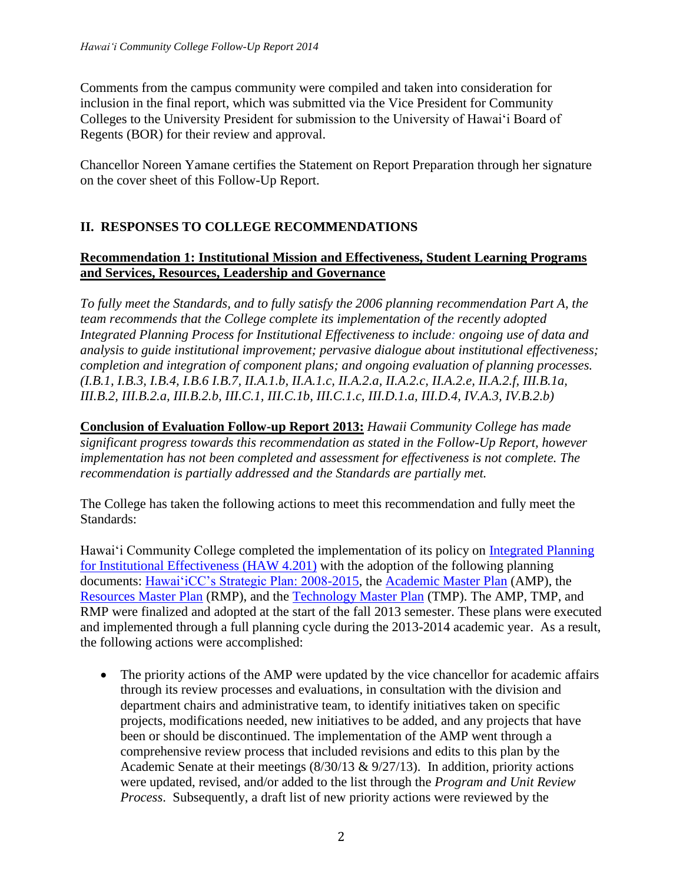Comments from the campus community were compiled and taken into consideration for inclusion in the final report, which was submitted via the Vice President for Community Colleges to the University President for submission to the University of Hawai'i Board of Regents (BOR) for their review and approval.

Chancellor Noreen Yamane certifies the Statement on Report Preparation through her signature on the cover sheet of this Follow-Up Report.

# **II. RESPONSES TO COLLEGE RECOMMENDATIONS**

# **Recommendation 1: Institutional Mission and Effectiveness, Student Learning Programs and Services, Resources, Leadership and Governance**

*To fully meet the Standards, and to fully satisfy the 2006 planning recommendation Part A, the team recommends that the College complete its implementation of the recently adopted Integrated Planning Process for Institutional Effectiveness to include: ongoing use of data and analysis to guide institutional improvement; pervasive dialogue about institutional effectiveness; completion and integration of component plans; and ongoing evaluation of planning processes. (I.B.1, I.B.3, I.B.4, I.B.6 I.B.7, II.A.1.b, II.A.1.c, II.A.2.a, II.A.2.c, II.A.2.e, II.A.2.f, III.B.1a, III.B.2, III.B.2.a, III.B.2.b, III.C.1, III.C.1b, III.C.1.c, III.D.1.a, III.D.4, IV.A.3, IV.B.2.b)*

**Conclusion of Evaluation Follow-up Report 2013:** *Hawaii Community College has made significant progress towards this recommendation as stated in the Follow-Up Report, however implementation has not been completed and assessment for effectiveness is not complete. The recommendation is partially addressed and the Standards are partially met.*

The College has taken the following actions to meet this recommendation and fully meet the Standards:

Hawai'i Community College completed the implementation of its policy on [Integrated Planning](http://hawaii.hawaii.edu/ovcadmin/admin-manual/haw4.php)  [for Institutional Effectiveness \(HAW 4.201\)](http://hawaii.hawaii.edu/ovcadmin/admin-manual/haw4.php) with the adoption of the following planning documents: [Hawai'iCC's Strategic Plan: 2008-2015,](http://hawaii.hawaii.edu/docs/HawCCStrategicPlan_2008-2015_10-29-09.pdf) the [Academic Master Plan](http://hawaii.hawaii.edu/docs/academic-master-plan.pdf) (AMP), the [Resources Master Plan](http://hawaii.hawaii.edu/docs/resources_master_plan.pdf) (RMP), and the [Technology Master Plan](http://hawaii.hawaii.edu/docs/hawcc_technology_plan.pdf) (TMP). The AMP, TMP, and RMP were finalized and adopted at the start of the fall 2013 semester. These plans were executed and implemented through a full planning cycle during the 2013-2014 academic year. As a result, the following actions were accomplished:

• The priority actions of the AMP were updated by the vice chancellor for academic affairs through its review processes and evaluations, in consultation with the division and department chairs and administrative team, to identify initiatives taken on specific projects, modifications needed, new initiatives to be added, and any projects that have been or should be discontinued. The implementation of the AMP went through a comprehensive review process that included revisions and edits to this plan by the Academic Senate at their meetings (8/30/13 & 9/27/13). In addition, priority actions were updated, revised, and/or added to the list through the *Program and Unit Review Process*. Subsequently, a draft list of new priority actions were reviewed by the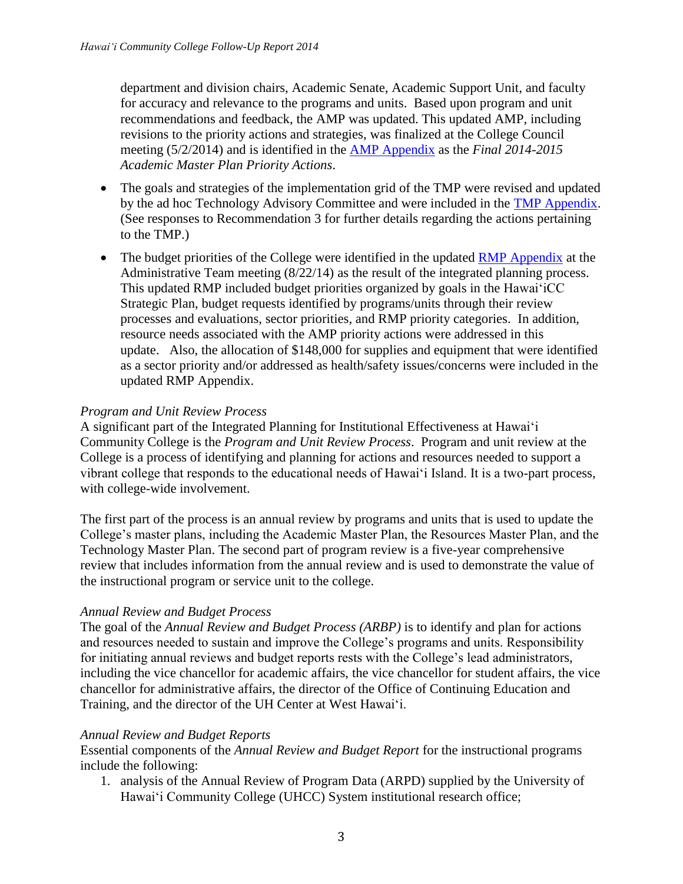department and division chairs, Academic Senate, Academic Support Unit, and faculty for accuracy and relevance to the programs and units. Based upon program and unit recommendations and feedback, the AMP was updated. This updated AMP, including revisions to the priority actions and strategies, was finalized at the College Council meeting (5/2/2014) and is identified in the [AMP Appendix](http://hawaii.hawaii.edu/docs/academic-master-plan-appendix-priority-actions.pdf) as the *Final 2014-2015 Academic Master Plan Priority Actions*.

- The goals and strategies of the implementation grid of the TMP were revised and updated by the ad hoc Technology Advisory Committee and were included in the [TMP Appendix.](http://hawaii.hawaii.edu/docs/hawcc_technology_plan-appendix-strategies.pdf) (See responses to Recommendation 3 for further details regarding the actions pertaining to the TMP.)
- The budget priorities of the College were identified in the updated [RMP Appendix](http://hawaii.hawaii.edu/docs/resources_master_plan-appendix.pdf) at the Administrative Team meeting (8/22/14) as the result of the integrated planning process. This updated RMP included budget priorities organized by goals in the Hawai'iCC Strategic Plan, budget requests identified by programs/units through their review processes and evaluations, sector priorities, and RMP priority categories. In addition, resource needs associated with the AMP priority actions were addressed in this update. Also, the allocation of \$148,000 for supplies and equipment that were identified as a sector priority and/or addressed as health/safety issues/concerns were included in the updated RMP Appendix.

### *Program and Unit Review Process*

A significant part of the Integrated Planning for Institutional Effectiveness at Hawai'i Community College is the *Program and Unit Review Process*. Program and unit review at the College is a process of identifying and planning for actions and resources needed to support a vibrant college that responds to the educational needs of Hawai'i Island. It is a two-part process, with college-wide involvement.

The first part of the process is an annual review by programs and units that is used to update the College's master plans, including the Academic Master Plan, the Resources Master Plan, and the Technology Master Plan. The second part of program review is a five-year comprehensive review that includes information from the annual review and is used to demonstrate the value of the instructional program or service unit to the college.

### *Annual Review and Budget Process*

The goal of the *Annual Review and Budget Process (ARBP)* is to identify and plan for actions and resources needed to sustain and improve the College's programs and units. Responsibility for initiating annual reviews and budget reports rests with the College's lead administrators, including the vice chancellor for academic affairs, the vice chancellor for student affairs, the vice chancellor for administrative affairs, the director of the Office of Continuing Education and Training, and the director of the UH Center at West Hawai'i.

### *Annual Review and Budget Reports*

Essential components of the *Annual Review and Budget Report* for the instructional programs include the following:

1. analysis of the Annual Review of Program Data (ARPD) supplied by the University of Hawai'i Community College (UHCC) System institutional research office;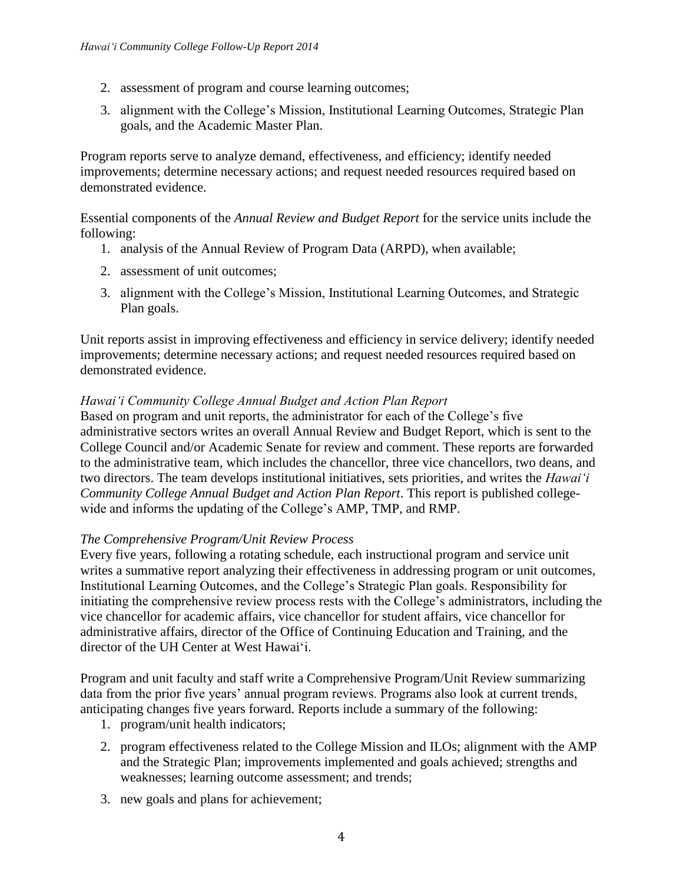- 2. assessment of program and course learning outcomes;
- 3. alignment with the College's Mission, Institutional Learning Outcomes, Strategic Plan goals, and the Academic Master Plan.

Program reports serve to analyze demand, effectiveness, and efficiency; identify needed improvements; determine necessary actions; and request needed resources required based on demonstrated evidence.

Essential components of the *Annual Review and Budget Report* for the service units include the following:

- 1. analysis of the Annual Review of Program Data (ARPD), when available;
- 2. assessment of unit outcomes;
- 3. alignment with the College's Mission, Institutional Learning Outcomes, and Strategic Plan goals.

Unit reports assist in improving effectiveness and efficiency in service delivery; identify needed improvements; determine necessary actions; and request needed resources required based on demonstrated evidence.

#### *Hawai'i Community College Annual Budget and Action Plan Report*

Based on program and unit reports, the administrator for each of the College's five administrative sectors writes an overall Annual Review and Budget Report, which is sent to the College Council and/or Academic Senate for review and comment. These reports are forwarded to the administrative team, which includes the chancellor, three vice chancellors, two deans, and two directors. The team develops institutional initiatives, sets priorities, and writes the *Hawai'i Community College Annual Budget and Action Plan Report*. This report is published collegewide and informs the updating of the College's AMP, TMP, and RMP.

#### *The Comprehensive Program/Unit Review Process*

Every five years, following a rotating schedule, each instructional program and service unit writes a summative report analyzing their effectiveness in addressing program or unit outcomes, Institutional Learning Outcomes, and the College's Strategic Plan goals. Responsibility for initiating the comprehensive review process rests with the College's administrators, including the vice chancellor for academic affairs, vice chancellor for student affairs, vice chancellor for administrative affairs, director of the Office of Continuing Education and Training, and the director of the UH Center at West Hawai'i.

Program and unit faculty and staff write a Comprehensive Program/Unit Review summarizing data from the prior five years' annual program reviews. Programs also look at current trends, anticipating changes five years forward. Reports include a summary of the following:

- 1. program/unit health indicators;
- 2. program effectiveness related to the College Mission and ILOs; alignment with the AMP and the Strategic Plan; improvements implemented and goals achieved; strengths and weaknesses; learning outcome assessment; and trends;
- 3. new goals and plans for achievement;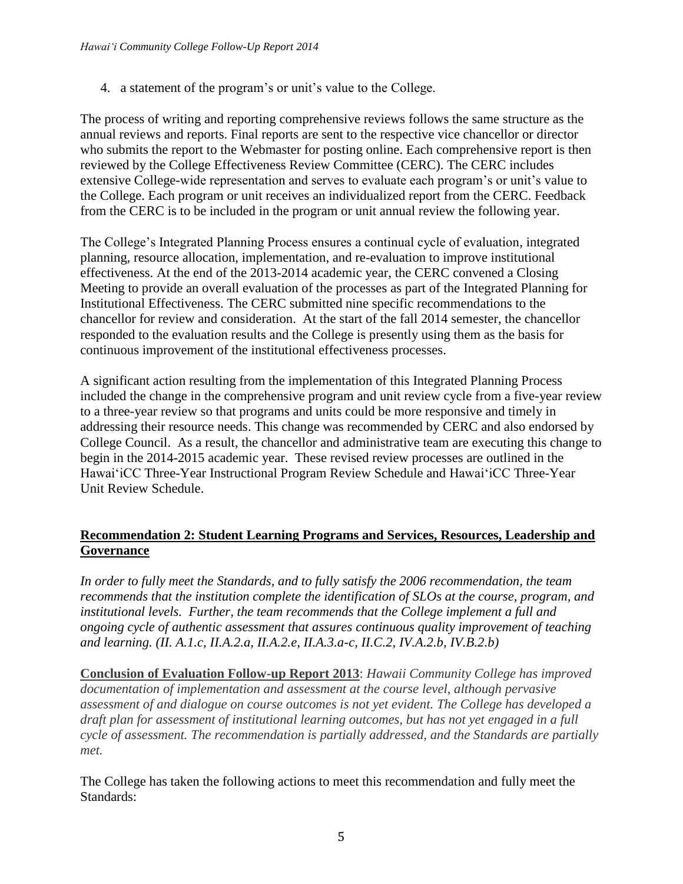4. a statement of the program's or unit's value to the College.

The process of writing and reporting comprehensive reviews follows the same structure as the annual reviews and reports. Final reports are sent to the respective vice chancellor or director who submits the report to the Webmaster for posting online. Each comprehensive report is then reviewed by the College Effectiveness Review Committee (CERC). The CERC includes extensive College-wide representation and serves to evaluate each program's or unit's value to the College. Each program or unit receives an individualized report from the CERC. Feedback from the CERC is to be included in the program or unit annual review the following year.

The College's Integrated Planning Process ensures a continual cycle of evaluation, integrated planning, resource allocation, implementation, and re-evaluation to improve institutional effectiveness. At the end of the 2013-2014 academic year, the CERC convened a Closing Meeting to provide an overall evaluation of the processes as part of the Integrated Planning for Institutional Effectiveness. The CERC submitted nine specific recommendations to the chancellor for review and consideration. At the start of the fall 2014 semester, the chancellor responded to the evaluation results and the College is presently using them as the basis for continuous improvement of the institutional effectiveness processes.

A significant action resulting from the implementation of this Integrated Planning Process included the change in the comprehensive program and unit review cycle from a five-year review to a three-year review so that programs and units could be more responsive and timely in addressing their resource needs. This change was recommended by CERC and also endorsed by College Council. As a result, the chancellor and administrative team are executing this change to begin in the 2014-2015 academic year. These revised review processes are outlined in the Hawai'iCC Three-Year Instructional Program Review Schedule and Hawai'iCC Three-Year Unit Review Schedule.

# **Recommendation 2: Student Learning Programs and Services, Resources, Leadership and Governance**

*In order to fully meet the Standards, and to fully satisfy the 2006 recommendation, the team recommends that the institution complete the identification of SLOs at the course, program, and institutional levels. Further, the team recommends that the College implement a full and ongoing cycle of authentic assessment that assures continuous quality improvement of teaching and learning. (II. A.1.c, II.A.2.a, II.A.2.e, II.A.3.a-c, II.C.2, IV.A.2.b, IV.B.2.b)*

**Conclusion of Evaluation Follow-up Report 2013**: *Hawaii Community College has improved documentation of implementation and assessment at the course level, although pervasive assessment of and dialogue on course outcomes is not yet evident. The College has developed a draft plan for assessment of institutional learning outcomes, but has not yet engaged in a full cycle of assessment. The recommendation is partially addressed, and the Standards are partially met.*

The College has taken the following actions to meet this recommendation and fully meet the Standards: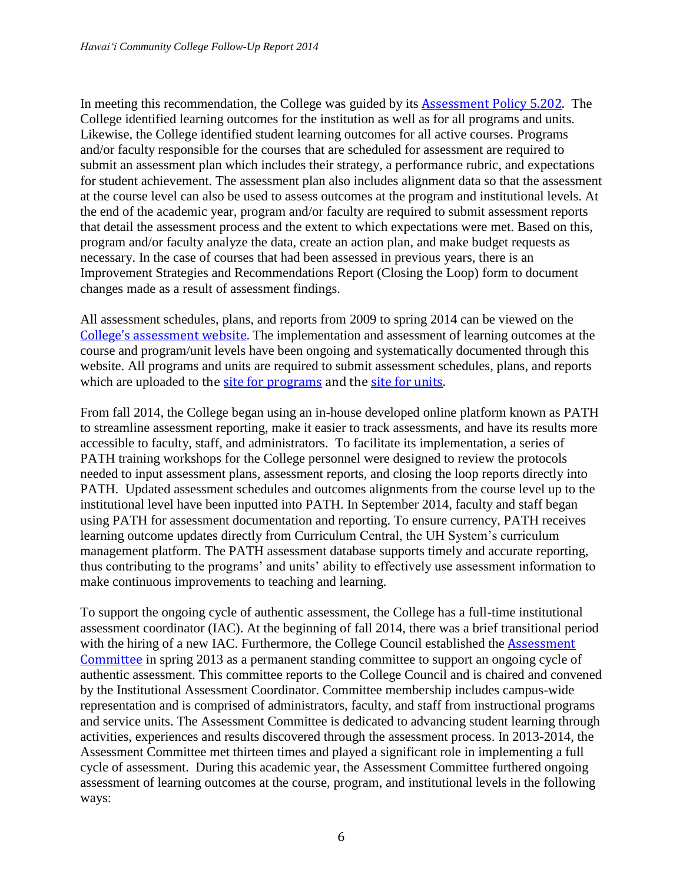In meeting this recommendation, the College was guided by its Assessment [Policy 5.202.](http://hawaii.hawaii.edu/ovcadmin/admin-manual/haw5-202.pdf) The College identified learning outcomes for the institution as well as for all programs and units. Likewise, the College identified student learning outcomes for all active courses. Programs and/or faculty responsible for the courses that are scheduled for assessment are required to submit an assessment plan which includes their strategy, a performance rubric, and expectations for student achievement. The assessment plan also includes alignment data so that the assessment at the course level can also be used to assess outcomes at the program and institutional levels. At the end of the academic year, program and/or faculty are required to submit assessment reports that detail the assessment process and the extent to which expectations were met. Based on this, program and/or faculty analyze the data, create an action plan, and make budget requests as necessary. In the case of courses that had been assessed in previous years, there is an Improvement Strategies and Recommendations Report (Closing the Loop) form to document changes made as a result of assessment findings.

All assessment schedules, plans, and reports from 2009 to spring 2014 can be viewed on the [College's assessment w](http://hawaii.hawaii.edu/assessment/reports/program_reports.php)ebsite. The implementation and assessment of learning outcomes at the course and program/unit levels have been ongoing and systematically documented through this website. All programs and units are required to submit assessment schedules, plans, and reports which are uploaded to the [site for programs](http://hawaii.hawaii.edu/assessment/reports/program_reports.php) and the [site for units.](http://hawaii.hawaii.edu/assessment/reports/unit_reports.php)

From fall 2014, the College began using an in-house developed online platform known as PATH to streamline assessment reporting, make it easier to track assessments, and have its results more accessible to faculty, staff, and administrators. To facilitate its implementation, a series of PATH training workshops for the College personnel were designed to review the protocols needed to input assessment plans, assessment reports, and closing the loop reports directly into PATH. Updated assessment schedules and outcomes alignments from the course level up to the institutional level have been inputted into PATH. In September 2014, faculty and staff began using PATH for assessment documentation and reporting. To ensure currency, PATH receives learning outcome updates directly from Curriculum Central, the UH System's curriculum management platform. The PATH assessment database supports timely and accurate reporting, thus contributing to the programs' and units' ability to effectively use assessment information to make continuous improvements to teaching and learning.

To support the ongoing cycle of authentic assessment, the College has a full-time institutional assessment coordinator (IAC). At the beginning of fall 2014, there was a brief transitional period with the hiring of a new IAC. Furthermore, the College Council established the **Assessment** [Committee](http://hawaii.hawaii.edu/assessment/committee.php) in spring 2013 as a permanent standing committee to support an ongoing cycle of authentic assessment. This committee reports to the College Council and is chaired and convened by the Institutional Assessment Coordinator. Committee membership includes campus-wide representation and is comprised of administrators, faculty, and staff from instructional programs and service units. The Assessment Committee is dedicated to advancing student learning through activities, experiences and results discovered through the assessment process. In 2013-2014, the Assessment Committee met thirteen times and played a significant role in implementing a full cycle of assessment. During this academic year, the Assessment Committee furthered ongoing assessment of learning outcomes at the course, program, and institutional levels in the following ways: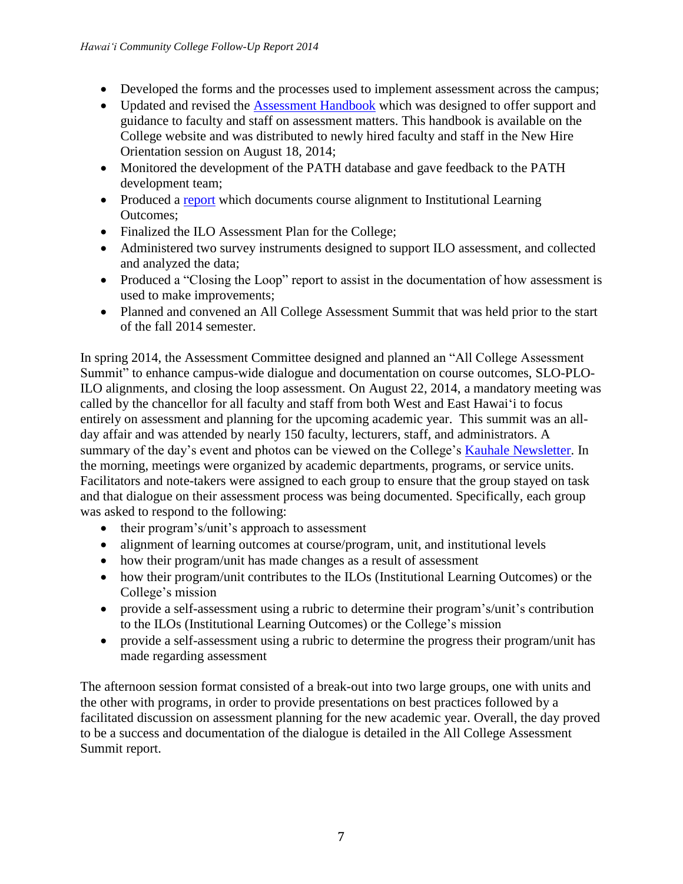- Developed the forms and the processes used to implement assessment across the campus;
- Updated and revised the [Assessment Handbook](http://hawaii.hawaii.edu/assessment/reports/documents/HAWCCAssessmentHandbook.pdf) which was designed to offer support and guidance to faculty and staff on assessment matters. This handbook is available on the College website and was distributed to newly hired faculty and staff in the New Hire Orientation session on August 18, 2014;
- Monitored the development of the PATH database and gave feedback to the PATH development team;
- Produced a [report](http://hawaii.hawaii.edu/assessment/reports/documents/ILOCourseAlignmentReport.pdf) which documents course alignment to Institutional Learning Outcomes;
- Finalized the ILO Assessment Plan for the College;
- Administered two survey instruments designed to support ILO assessment, and collected and analyzed the data;
- Produced a "Closing the Loop" report to assist in the documentation of how assessment is used to make improvements;
- Planned and convened an All College Assessment Summit that was held prior to the start of the fall 2014 semester.

In spring 2014, the Assessment Committee designed and planned an "All College Assessment Summit" to enhance campus-wide dialogue and documentation on course outcomes, SLO-PLO-ILO alignments, and closing the loop assessment. On August 22, 2014, a mandatory meeting was called by the chancellor for all faculty and staff from both West and East Hawai'i to focus entirely on assessment and planning for the upcoming academic year. This summit was an allday affair and was attended by nearly 150 faculty, lecturers, staff, and administrators. A summary of the day's event and photos can be viewed on the College's [Kauhale Newsletter.](http://blog.hawaii.edu/kauhale/2014/08/29/ilo-assessment-summit-mahalo/) In the morning, meetings were organized by academic departments, programs, or service units. Facilitators and note-takers were assigned to each group to ensure that the group stayed on task and that dialogue on their assessment process was being documented. Specifically, each group was asked to respond to the following:

- their program's/unit's approach to assessment
- alignment of learning outcomes at course/program, unit, and institutional levels
- how their program/unit has made changes as a result of assessment
- how their program/unit contributes to the ILOs (Institutional Learning Outcomes) or the College's mission
- provide a self-assessment using a rubric to determine their program's/unit's contribution to the ILOs (Institutional Learning Outcomes) or the College's mission
- provide a self-assessment using a rubric to determine the progress their program/unit has made regarding assessment

The afternoon session format consisted of a break-out into two large groups, one with units and the other with programs, in order to provide presentations on best practices followed by a facilitated discussion on assessment planning for the new academic year. Overall, the day proved to be a success and documentation of the dialogue is detailed in the All College Assessment Summit report.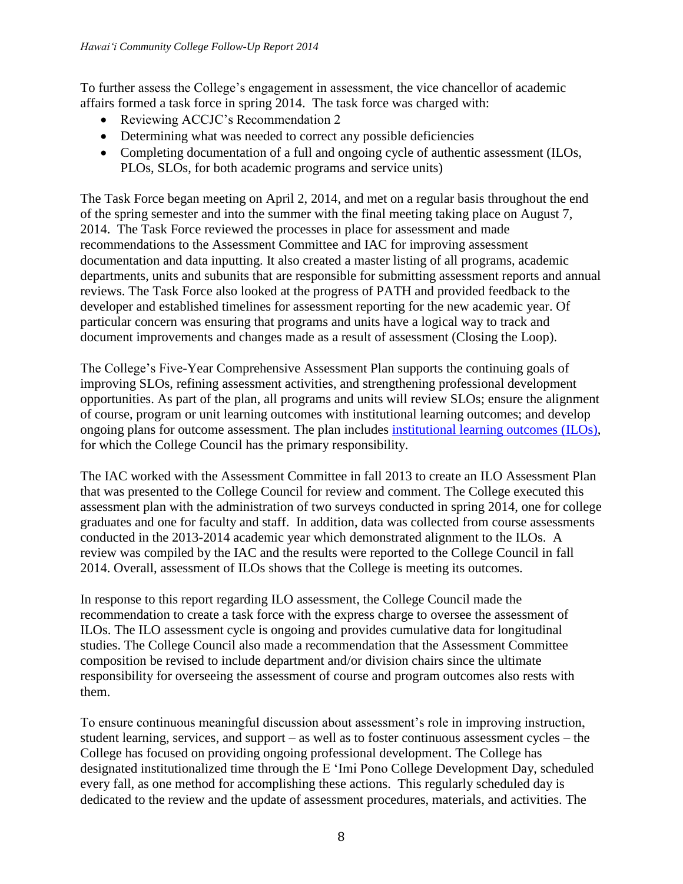To further assess the College's engagement in assessment, the vice chancellor of academic affairs formed a task force in spring 2014. The task force was charged with:

- Reviewing ACCJC's Recommendation 2
- Determining what was needed to correct any possible deficiencies
- Completing documentation of a full and ongoing cycle of authentic assessment (ILOs, PLOs, SLOs, for both academic programs and service units)

The Task Force began meeting on April 2, 2014, and met on a regular basis throughout the end of the spring semester and into the summer with the final meeting taking place on August 7, 2014. The Task Force reviewed the processes in place for assessment and made recommendations to the Assessment Committee and IAC for improving assessment documentation and data inputting. It also created a master listing of all programs, academic departments, units and subunits that are responsible for submitting assessment reports and annual reviews. The Task Force also looked at the progress of PATH and provided feedback to the developer and established timelines for assessment reporting for the new academic year. Of particular concern was ensuring that programs and units have a logical way to track and document improvements and changes made as a result of assessment (Closing the Loop).

The College's Five-Year Comprehensive Assessment Plan supports the continuing goals of improving SLOs, refining assessment activities, and strengthening professional development opportunities. As part of the plan, all programs and units will review SLOs; ensure the alignment of course, program or unit learning outcomes with institutional learning outcomes; and develop ongoing plans for outcome assessment. The plan includes [institutional learning outcomes \(ILOs\),](http://hawaii.hawaii.edu/about/) for which the College Council has the primary responsibility.

The IAC worked with the Assessment Committee in fall 2013 to create an ILO Assessment Plan that was presented to the College Council for review and comment. The College executed this assessment plan with the administration of two surveys conducted in spring 2014, one for college graduates and one for faculty and staff. In addition, data was collected from course assessments conducted in the 2013-2014 academic year which demonstrated alignment to the ILOs. A review was compiled by the IAC and the results were reported to the College Council in fall 2014. Overall, assessment of ILOs shows that the College is meeting its outcomes.

In response to this report regarding ILO assessment, the College Council made the recommendation to create a task force with the express charge to oversee the assessment of ILOs. The ILO assessment cycle is ongoing and provides cumulative data for longitudinal studies. The College Council also made a recommendation that the Assessment Committee composition be revised to include department and/or division chairs since the ultimate responsibility for overseeing the assessment of course and program outcomes also rests with them.

To ensure continuous meaningful discussion about assessment's role in improving instruction, student learning, services, and support – as well as to foster continuous assessment cycles – the College has focused on providing ongoing professional development. The College has designated institutionalized time through the E 'Imi Pono College Development Day, scheduled every fall, as one method for accomplishing these actions. This regularly scheduled day is dedicated to the review and the update of assessment procedures, materials, and activities. The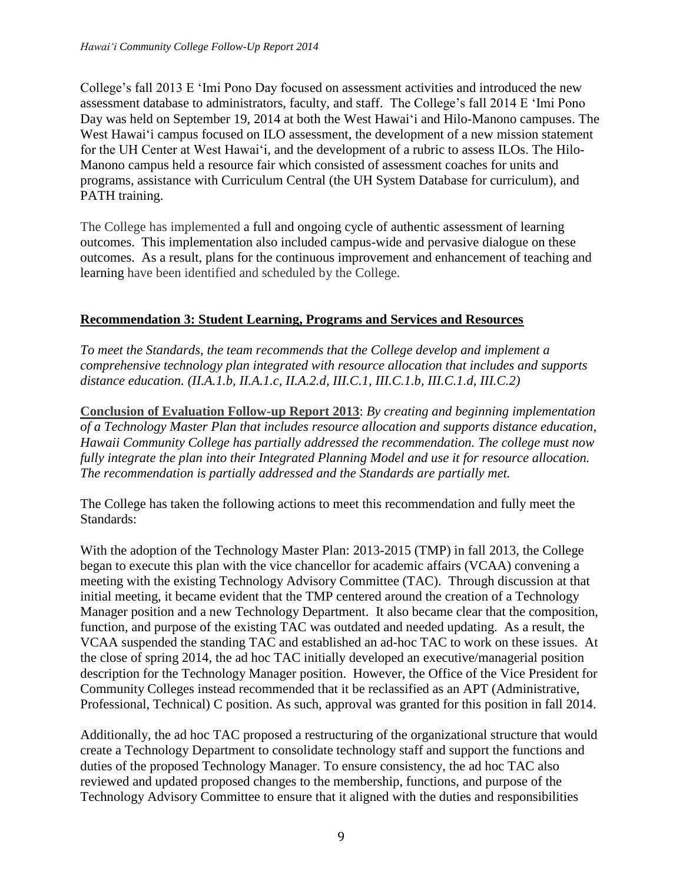College's fall 2013 E 'Imi Pono Day focused on assessment activities and introduced the new assessment database to administrators, faculty, and staff. The College's fall 2014 E 'Imi Pono Day was held on September 19, 2014 at both the West Hawai'i and Hilo-Manono campuses. The West Hawai'i campus focused on ILO assessment, the development of a new mission statement for the UH Center at West Hawai'i, and the development of a rubric to assess ILOs. The Hilo-Manono campus held a resource fair which consisted of assessment coaches for units and programs, assistance with Curriculum Central (the UH System Database for curriculum), and PATH training.

The College has implemented a full and ongoing cycle of authentic assessment of learning outcomes. This implementation also included campus-wide and pervasive dialogue on these outcomes. As a result, plans for the continuous improvement and enhancement of teaching and learning have been identified and scheduled by the College.

### **Recommendation 3: Student Learning, Programs and Services and Resources**

*To meet the Standards, the team recommends that the College develop and implement a comprehensive technology plan integrated with resource allocation that includes and supports distance education. (II.A.1.b, II.A.1.c, II.A.2.d, III.C.1, III.C.1.b, III.C.1.d, III.C.2)*

**Conclusion of Evaluation Follow-up Report 2013**: *By creating and beginning implementation of a Technology Master Plan that includes resource allocation and supports distance education, Hawaii Community College has partially addressed the recommendation. The college must now fully integrate the plan into their Integrated Planning Model and use it for resource allocation. The recommendation is partially addressed and the Standards are partially met.*

The College has taken the following actions to meet this recommendation and fully meet the Standards:

With the adoption of the Technology Master Plan: 2013-2015 (TMP) in fall 2013, the College began to execute this plan with the vice chancellor for academic affairs (VCAA) convening a meeting with the existing Technology Advisory Committee (TAC). Through discussion at that initial meeting, it became evident that the TMP centered around the creation of a Technology Manager position and a new Technology Department. It also became clear that the composition, function, and purpose of the existing TAC was outdated and needed updating. As a result, the VCAA suspended the standing TAC and established an ad-hoc TAC to work on these issues. At the close of spring 2014, the ad hoc TAC initially developed an executive/managerial position description for the Technology Manager position. However, the Office of the Vice President for Community Colleges instead recommended that it be reclassified as an APT (Administrative, Professional, Technical) C position. As such, approval was granted for this position in fall 2014.

Additionally, the ad hoc TAC proposed a restructuring of the organizational structure that would create a Technology Department to consolidate technology staff and support the functions and duties of the proposed Technology Manager. To ensure consistency, the ad hoc TAC also reviewed and updated proposed changes to the membership, functions, and purpose of the Technology Advisory Committee to ensure that it aligned with the duties and responsibilities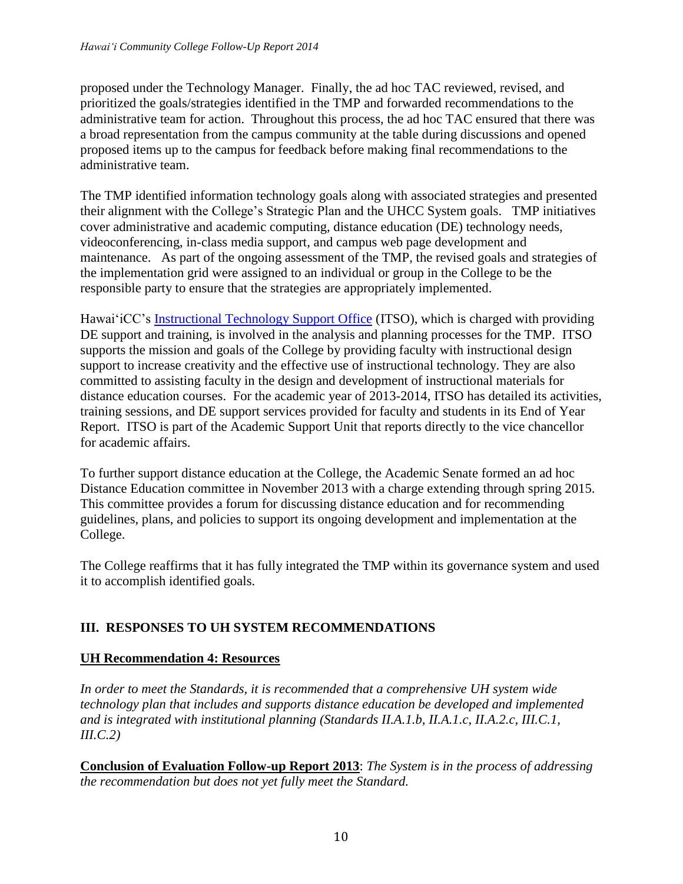proposed under the Technology Manager. Finally, the ad hoc TAC reviewed, revised, and prioritized the goals/strategies identified in the TMP and forwarded recommendations to the administrative team for action. Throughout this process, the ad hoc TAC ensured that there was a broad representation from the campus community at the table during discussions and opened proposed items up to the campus for feedback before making final recommendations to the administrative team.

The TMP identified information technology goals along with associated strategies and presented their alignment with the College's Strategic Plan and the UHCC System goals. TMP initiatives cover administrative and academic computing, distance education (DE) technology needs, videoconferencing, in-class media support, and campus web page development and maintenance. As part of the ongoing assessment of the TMP, the revised goals and strategies of the implementation grid were assigned to an individual or group in the College to be the responsible party to ensure that the strategies are appropriately implemented.

Hawai'iCC's [Instructional Technology Support Office](http://hawaii.hawaii.edu/itso/) (ITSO), which is charged with providing DE support and training, is involved in the analysis and planning processes for the TMP. ITSO supports the mission and goals of the College by providing faculty with instructional design support to increase creativity and the effective use of instructional technology. They are also committed to assisting faculty in the design and development of instructional materials for distance education courses. For the academic year of 2013-2014, ITSO has detailed its activities, training sessions, and DE support services provided for faculty and students in its End of Year Report. ITSO is part of the Academic Support Unit that reports directly to the vice chancellor for academic affairs.

To further support distance education at the College, the Academic Senate formed an ad hoc Distance Education committee in November 2013 with a charge extending through spring 2015. This committee provides a forum for discussing distance education and for recommending guidelines, plans, and policies to support its ongoing development and implementation at the College.

The College reaffirms that it has fully integrated the TMP within its governance system and used it to accomplish identified goals.

# **III. RESPONSES TO UH SYSTEM RECOMMENDATIONS**

### **UH Recommendation 4: Resources**

*In order to meet the Standards, it is recommended that a comprehensive UH system wide technology plan that includes and supports distance education be developed and implemented and is integrated with institutional planning (Standards II.A.1.b, II.A.1.c, II.A.2.c, III.C.1, III.C.2)*

**Conclusion of Evaluation Follow-up Report 2013**: *The System is in the process of addressing the recommendation but does not yet fully meet the Standard.*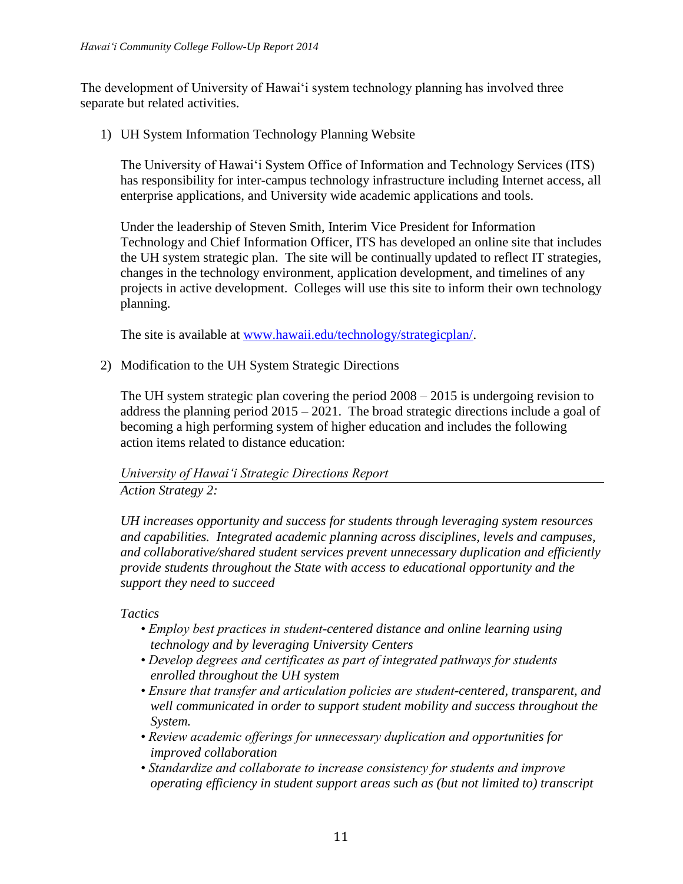The development of University of Hawai'i system technology planning has involved three separate but related activities.

1) UH System Information Technology Planning Website

The University of Hawai'i System Office of Information and Technology Services (ITS) has responsibility for inter-campus technology infrastructure including Internet access, all enterprise applications, and University wide academic applications and tools.

Under the leadership of Steven Smith, Interim Vice President for Information Technology and Chief Information Officer, ITS has developed an online site that includes the UH system strategic plan. The site will be continually updated to reflect IT strategies, changes in the technology environment, application development, and timelines of any projects in active development. Colleges will use this site to inform their own technology planning.

The site is available at [www.hawaii.edu/technology/strategicplan/.](http://www.hawaii.edu/technology/strategicplan/)

2) Modification to the UH System Strategic Directions

The UH system strategic plan covering the period 2008 – 2015 is undergoing revision to address the planning period  $2015 - 2021$ . The broad strategic directions include a goal of becoming a high performing system of higher education and includes the following action items related to distance education:

# *University of Hawai'i Strategic Directions Report Action Strategy 2:*

*UH increases opportunity and success for students through leveraging system resources and capabilities. Integrated academic planning across disciplines, levels and campuses, and collaborative/shared student services prevent unnecessary duplication and efficiently provide students throughout the State with access to educational opportunity and the support they need to succeed*

*Tactics*

- *Employ best practices in student-centered distance and online learning using technology and by leveraging University Centers*
- *Develop degrees and certificates as part of integrated pathways for students enrolled throughout the UH system*
- *Ensure that transfer and articulation policies are student-centered, transparent, and well communicated in order to support student mobility and success throughout the System.*
- *Review academic offerings for unnecessary duplication and opportunities for improved collaboration*
- *Standardize and collaborate to increase consistency for students and improve operating efficiency in student support areas such as (but not limited to) transcript*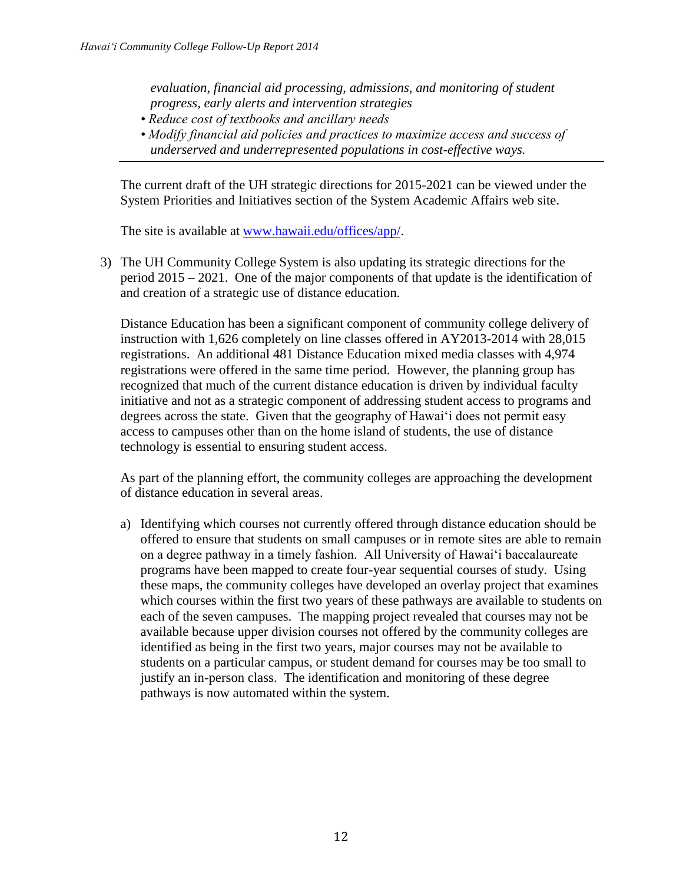*evaluation, financial aid processing, admissions, and monitoring of student progress, early alerts and intervention strategies* 

- *Reduce cost of textbooks and ancillary needs*
- *Modify financial aid policies and practices to maximize access and success of underserved and underrepresented populations in cost-effective ways.*

The current draft of the UH strategic directions for 2015-2021 can be viewed under the System Priorities and Initiatives section of the System Academic Affairs web site.

The site is available at [www.hawaii.edu/offices/app/.](http://www.hawaii.edu/offices/app/StrategicDirections_V15_062614.pdf)

3) The UH Community College System is also updating its strategic directions for the period 2015 – 2021. One of the major components of that update is the identification of and creation of a strategic use of distance education.

Distance Education has been a significant component of community college delivery of instruction with 1,626 completely on line classes offered in AY2013-2014 with 28,015 registrations. An additional 481 Distance Education mixed media classes with 4,974 registrations were offered in the same time period. However, the planning group has recognized that much of the current distance education is driven by individual faculty initiative and not as a strategic component of addressing student access to programs and degrees across the state. Given that the geography of Hawai'i does not permit easy access to campuses other than on the home island of students, the use of distance technology is essential to ensuring student access.

As part of the planning effort, the community colleges are approaching the development of distance education in several areas.

a) Identifying which courses not currently offered through distance education should be offered to ensure that students on small campuses or in remote sites are able to remain on a degree pathway in a timely fashion. All University of Hawai'i baccalaureate programs have been mapped to create four-year sequential courses of study. Using these maps, the community colleges have developed an overlay project that examines which courses within the first two years of these pathways are available to students on each of the seven campuses. The mapping project revealed that courses may not be available because upper division courses not offered by the community colleges are identified as being in the first two years, major courses may not be available to students on a particular campus, or student demand for courses may be too small to justify an in-person class. The identification and monitoring of these degree pathways is now automated within the system.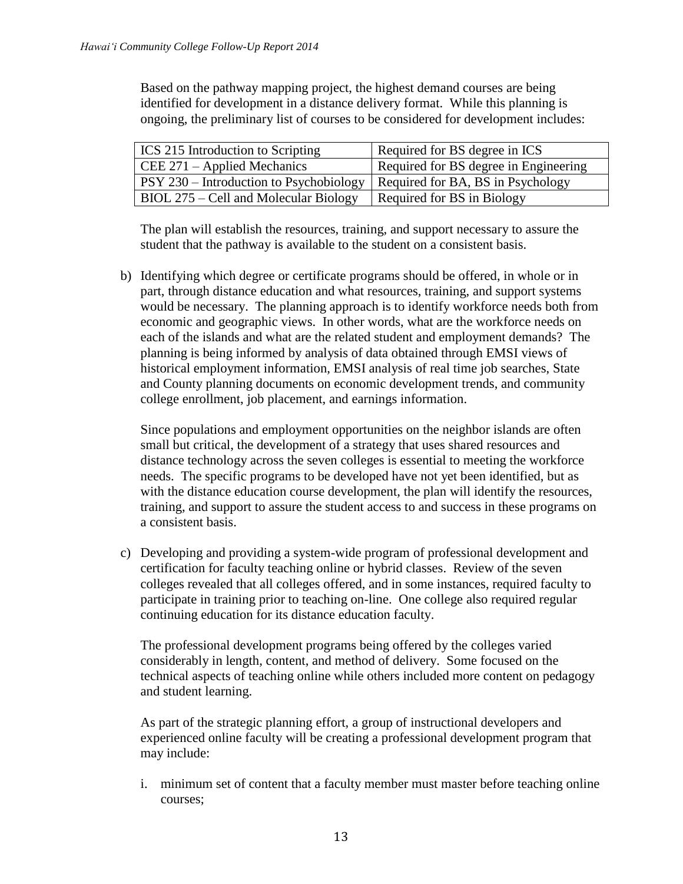Based on the pathway mapping project, the highest demand courses are being identified for development in a distance delivery format. While this planning is ongoing, the preliminary list of courses to be considered for development includes:

| ICS 215 Introduction to Scripting       | Required for BS degree in ICS         |
|-----------------------------------------|---------------------------------------|
| $CEE 271 - Applied Mechanics$           | Required for BS degree in Engineering |
| PSY 230 – Introduction to Psychobiology | Required for BA, BS in Psychology     |
| BIOL 275 – Cell and Molecular Biology   | Required for BS in Biology            |

The plan will establish the resources, training, and support necessary to assure the student that the pathway is available to the student on a consistent basis.

b) Identifying which degree or certificate programs should be offered, in whole or in part, through distance education and what resources, training, and support systems would be necessary. The planning approach is to identify workforce needs both from economic and geographic views. In other words, what are the workforce needs on each of the islands and what are the related student and employment demands? The planning is being informed by analysis of data obtained through EMSI views of historical employment information, EMSI analysis of real time job searches, State and County planning documents on economic development trends, and community college enrollment, job placement, and earnings information.

Since populations and employment opportunities on the neighbor islands are often small but critical, the development of a strategy that uses shared resources and distance technology across the seven colleges is essential to meeting the workforce needs. The specific programs to be developed have not yet been identified, but as with the distance education course development, the plan will identify the resources, training, and support to assure the student access to and success in these programs on a consistent basis.

c) Developing and providing a system-wide program of professional development and certification for faculty teaching online or hybrid classes. Review of the seven colleges revealed that all colleges offered, and in some instances, required faculty to participate in training prior to teaching on-line. One college also required regular continuing education for its distance education faculty.

The professional development programs being offered by the colleges varied considerably in length, content, and method of delivery. Some focused on the technical aspects of teaching online while others included more content on pedagogy and student learning.

As part of the strategic planning effort, a group of instructional developers and experienced online faculty will be creating a professional development program that may include:

i. minimum set of content that a faculty member must master before teaching online courses;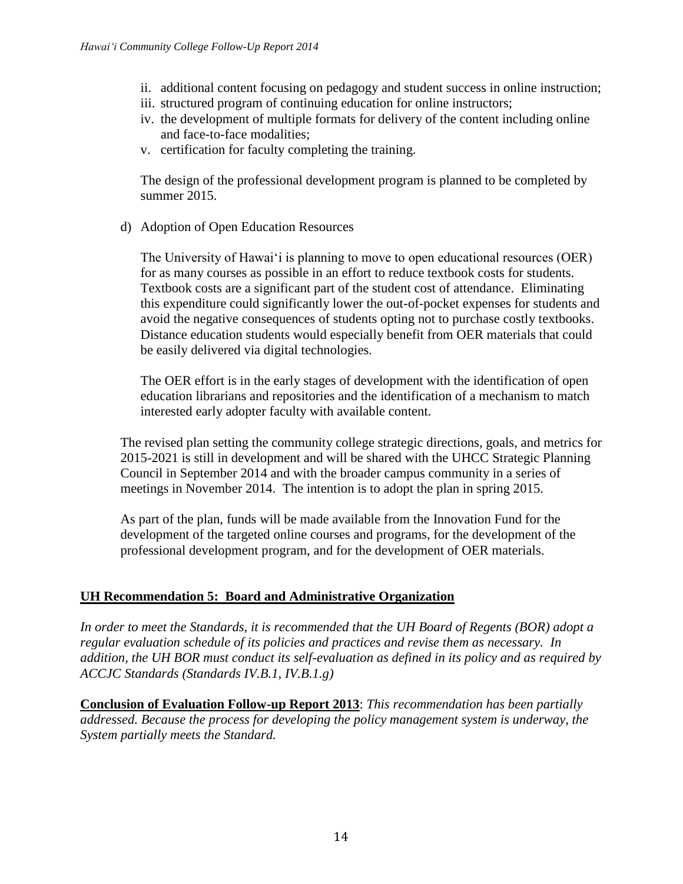- ii. additional content focusing on pedagogy and student success in online instruction;
- iii. structured program of continuing education for online instructors;
- iv. the development of multiple formats for delivery of the content including online and face-to-face modalities;
- v. certification for faculty completing the training.

The design of the professional development program is planned to be completed by summer 2015.

d) Adoption of Open Education Resources

The University of Hawai'i is planning to move to open educational resources (OER) for as many courses as possible in an effort to reduce textbook costs for students. Textbook costs are a significant part of the student cost of attendance. Eliminating this expenditure could significantly lower the out-of-pocket expenses for students and avoid the negative consequences of students opting not to purchase costly textbooks. Distance education students would especially benefit from OER materials that could be easily delivered via digital technologies.

The OER effort is in the early stages of development with the identification of open education librarians and repositories and the identification of a mechanism to match interested early adopter faculty with available content.

The revised plan setting the community college strategic directions, goals, and metrics for 2015-2021 is still in development and will be shared with the UHCC Strategic Planning Council in September 2014 and with the broader campus community in a series of meetings in November 2014. The intention is to adopt the plan in spring 2015.

As part of the plan, funds will be made available from the Innovation Fund for the development of the targeted online courses and programs, for the development of the professional development program, and for the development of OER materials.

### **UH Recommendation 5: Board and Administrative Organization**

*In order to meet the Standards, it is recommended that the UH Board of Regents (BOR) adopt a regular evaluation schedule of its policies and practices and revise them as necessary. In addition, the UH BOR must conduct its self-evaluation as defined in its policy and as required by ACCJC Standards (Standards IV.B.1, IV.B.1.g)*

**Conclusion of Evaluation Follow-up Report 2013**: *This recommendation has been partially addressed. Because the process for developing the policy management system is underway, the System partially meets the Standard.*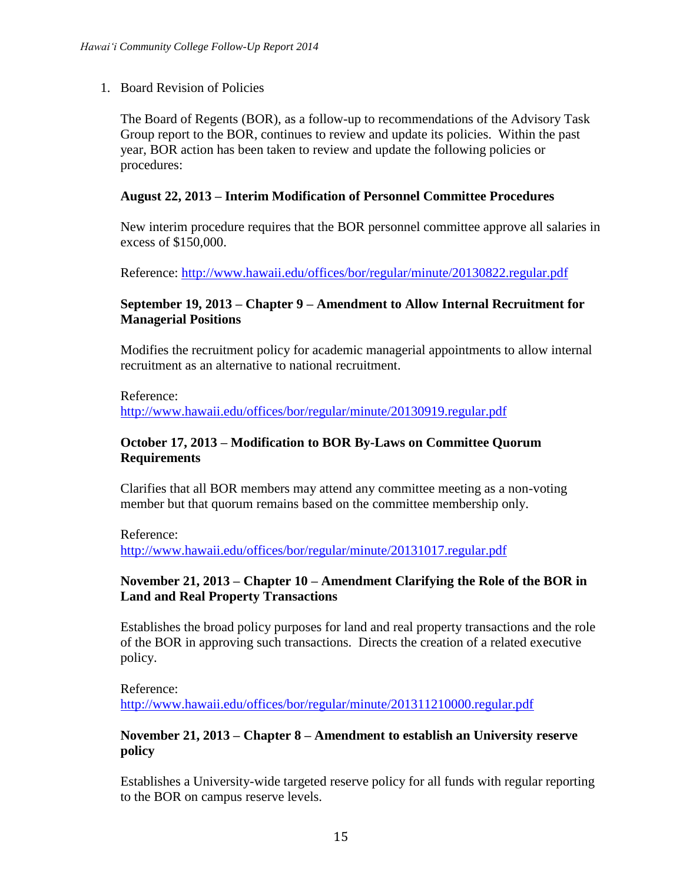1. Board Revision of Policies

The Board of Regents (BOR), as a follow-up to recommendations of the Advisory Task Group report to the BOR, continues to review and update its policies. Within the past year, BOR action has been taken to review and update the following policies or procedures:

### **August 22, 2013 – Interim Modification of Personnel Committee Procedures**

New interim procedure requires that the BOR personnel committee approve all salaries in excess of \$150,000.

Reference:<http://www.hawaii.edu/offices/bor/regular/minute/20130822.regular.pdf>

### **September 19, 2013 – Chapter 9 – Amendment to Allow Internal Recruitment for Managerial Positions**

Modifies the recruitment policy for academic managerial appointments to allow internal recruitment as an alternative to national recruitment.

Reference:

<http://www.hawaii.edu/offices/bor/regular/minute/20130919.regular.pdf>

#### **October 17, 2013 – Modification to BOR By-Laws on Committee Quorum Requirements**

Clarifies that all BOR members may attend any committee meeting as a non-voting member but that quorum remains based on the committee membership only.

Reference:

<http://www.hawaii.edu/offices/bor/regular/minute/20131017.regular.pdf>

### **November 21, 2013 – Chapter 10 – Amendment Clarifying the Role of the BOR in Land and Real Property Transactions**

Establishes the broad policy purposes for land and real property transactions and the role of the BOR in approving such transactions. Directs the creation of a related executive policy.

Reference: <http://www.hawaii.edu/offices/bor/regular/minute/201311210000.regular.pdf>

### **November 21, 2013 – Chapter 8 – Amendment to establish an University reserve policy**

Establishes a University-wide targeted reserve policy for all funds with regular reporting to the BOR on campus reserve levels.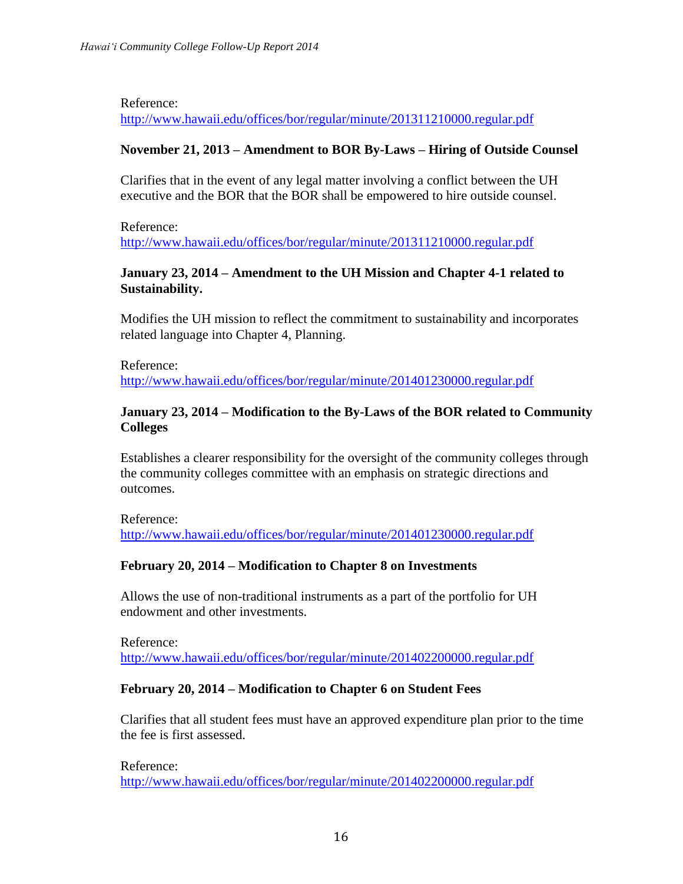Reference:

<http://www.hawaii.edu/offices/bor/regular/minute/201311210000.regular.pdf>

#### **November 21, 2013 – Amendment to BOR By-Laws – Hiring of Outside Counsel**

Clarifies that in the event of any legal matter involving a conflict between the UH executive and the BOR that the BOR shall be empowered to hire outside counsel.

Reference: <http://www.hawaii.edu/offices/bor/regular/minute/201311210000.regular.pdf>

### **January 23, 2014 – Amendment to the UH Mission and Chapter 4-1 related to Sustainability.**

Modifies the UH mission to reflect the commitment to sustainability and incorporates related language into Chapter 4, Planning.

Reference: <http://www.hawaii.edu/offices/bor/regular/minute/201401230000.regular.pdf>

#### **January 23, 2014 – Modification to the By-Laws of the BOR related to Community Colleges**

Establishes a clearer responsibility for the oversight of the community colleges through the community colleges committee with an emphasis on strategic directions and outcomes.

Reference: <http://www.hawaii.edu/offices/bor/regular/minute/201401230000.regular.pdf>

### **February 20, 2014 – Modification to Chapter 8 on Investments**

Allows the use of non-traditional instruments as a part of the portfolio for UH endowment and other investments.

Reference: <http://www.hawaii.edu/offices/bor/regular/minute/201402200000.regular.pdf>

### **February 20, 2014 – Modification to Chapter 6 on Student Fees**

Clarifies that all student fees must have an approved expenditure plan prior to the time the fee is first assessed.

Reference: <http://www.hawaii.edu/offices/bor/regular/minute/201402200000.regular.pdf>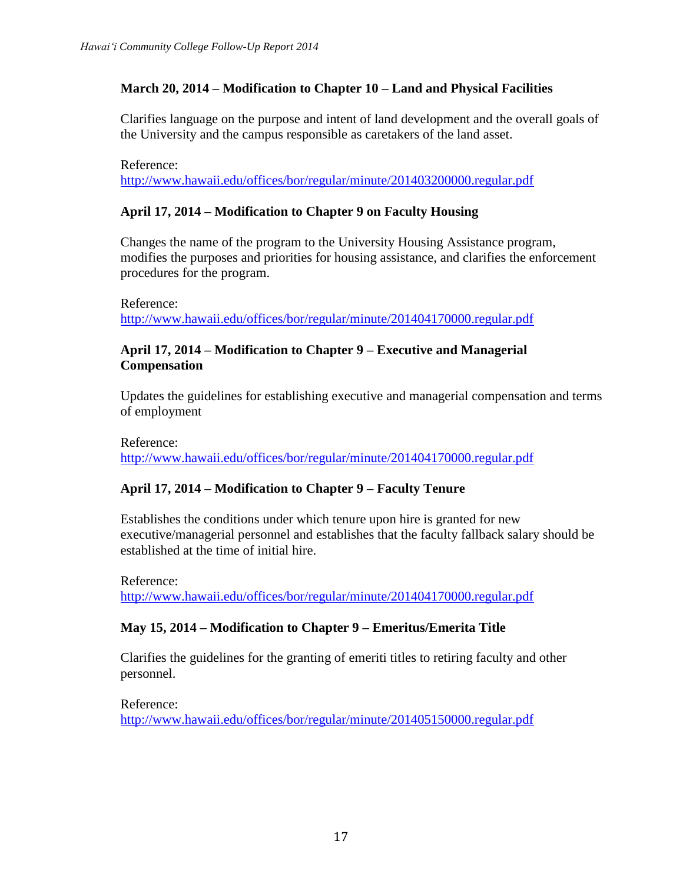# **March 20, 2014 – Modification to Chapter 10 – Land and Physical Facilities**

Clarifies language on the purpose and intent of land development and the overall goals of the University and the campus responsible as caretakers of the land asset.

Reference:

<http://www.hawaii.edu/offices/bor/regular/minute/201403200000.regular.pdf>

# **April 17, 2014 – Modification to Chapter 9 on Faculty Housing**

Changes the name of the program to the University Housing Assistance program, modifies the purposes and priorities for housing assistance, and clarifies the enforcement procedures for the program.

Reference:

<http://www.hawaii.edu/offices/bor/regular/minute/201404170000.regular.pdf>

### **April 17, 2014 – Modification to Chapter 9 – Executive and Managerial Compensation**

Updates the guidelines for establishing executive and managerial compensation and terms of employment

Reference: <http://www.hawaii.edu/offices/bor/regular/minute/201404170000.regular.pdf>

### **April 17, 2014 – Modification to Chapter 9 – Faculty Tenure**

Establishes the conditions under which tenure upon hire is granted for new executive/managerial personnel and establishes that the faculty fallback salary should be established at the time of initial hire.

Reference: <http://www.hawaii.edu/offices/bor/regular/minute/201404170000.regular.pdf>

### **May 15, 2014 – Modification to Chapter 9 – Emeritus/Emerita Title**

Clarifies the guidelines for the granting of emeriti titles to retiring faculty and other personnel.

Reference: <http://www.hawaii.edu/offices/bor/regular/minute/201405150000.regular.pdf>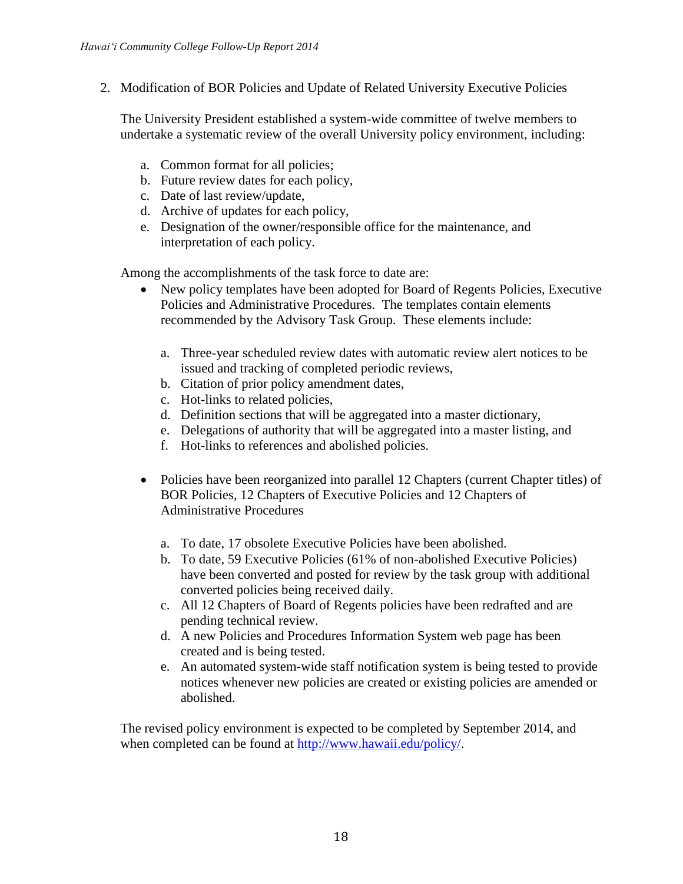2. Modification of BOR Policies and Update of Related University Executive Policies

The University President established a system-wide committee of twelve members to undertake a systematic review of the overall University policy environment, including:

- a. Common format for all policies;
- b. Future review dates for each policy,
- c. Date of last review/update,
- d. Archive of updates for each policy,
- e. Designation of the owner/responsible office for the maintenance, and interpretation of each policy.

Among the accomplishments of the task force to date are:

- New policy templates have been adopted for Board of Regents Policies, Executive Policies and Administrative Procedures. The templates contain elements recommended by the Advisory Task Group. These elements include:
	- a. Three-year scheduled review dates with automatic review alert notices to be issued and tracking of completed periodic reviews,
	- b. Citation of prior policy amendment dates,
	- c. Hot-links to related policies,
	- d. Definition sections that will be aggregated into a master dictionary,
	- e. Delegations of authority that will be aggregated into a master listing, and
	- f. Hot-links to references and abolished policies.
- Policies have been reorganized into parallel 12 Chapters (current Chapter titles) of BOR Policies, 12 Chapters of Executive Policies and 12 Chapters of Administrative Procedures
	- a. To date, 17 obsolete Executive Policies have been abolished.
	- b. To date, 59 Executive Policies (61% of non-abolished Executive Policies) have been converted and posted for review by the task group with additional converted policies being received daily.
	- c. All 12 Chapters of Board of Regents policies have been redrafted and are pending technical review.
	- d. A new Policies and Procedures Information System web page has been created and is being tested.
	- e. An automated system-wide staff notification system is being tested to provide notices whenever new policies are created or existing policies are amended or abolished.

The revised policy environment is expected to be completed by September 2014, and when completed can be found at [http://www.hawaii.edu/policy/.](http://www.hawaii.edu/policy/)